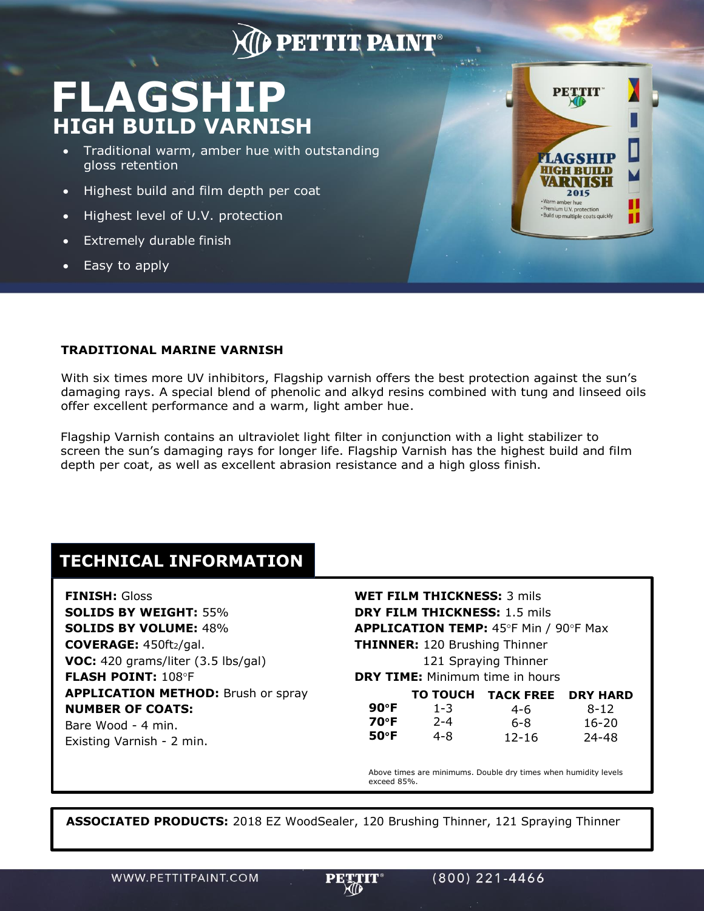## **DETTIT PAINT**

# **FLAGSHIP HIGH BUILD VARNISH**

- Traditional warm, amber hue with outstanding gloss retention
- Highest build and film depth per coat
- Highest level of U.V. protection
- Extremely durable finish
- Easy to apply



### **TRADITIONAL MARINE VARNISH**

With six times more UV inhibitors, Flagship varnish offers the best protection against the sun's damaging rays. A special blend of phenolic and alkyd resins combined with tung and linseed oils offer excellent performance and a warm, light amber hue.

Flagship Varnish contains an ultraviolet light filter in conjunction with a light stabilizer to screen the sun's damaging rays for longer life. Flagship Varnish has the highest build and film depth per coat, as well as excellent abrasion resistance and a high gloss finish.

### **TECHNICAL INFORMATION**

**FINISH:** Gloss **SOLIDS BY WEIGHT:** 55% **SOLIDS BY VOLUME:** 48% **COVERAGE:** 450ft2/gal. **VOC:** 420 grams/liter (3.5 lbs/gal) **FLASH POINT: 108°F APPLICATION METHOD:** Brush or spray **NUMBER OF COATS:** Bare Wood - 4 min. Existing Varnish - 2 min.

**WET FILM THICKNESS:** 3 mils **DRY FILM THICKNESS:** 1.5 mils **APPLICATION TEMP: 45°F Min / 90°F Max THINNER:** 120 Brushing Thinner 121 Spraying Thinner **DRY TIME:** Minimum time in hours

|                | <b>TO TOUCH</b> | <b>TACK FREE</b> | <b>DRY HARD</b> |
|----------------|-----------------|------------------|-----------------|
| 90°F           | $1 - 3$         | 4-6              | $8 - 12$        |
| 70°F           | $2 - 4$         | 6-8              | $16 - 20$       |
| $50^{\circ}$ F | 4-8             | $12 - 16$        | 24-48           |

Above times are minimums. Double dry times when humidity levels exceed 85%.

**ASSOCIATED PRODUCTS:** 2018 EZ WoodSealer, 120 Brushing Thinner, 121 Spraying Thinner